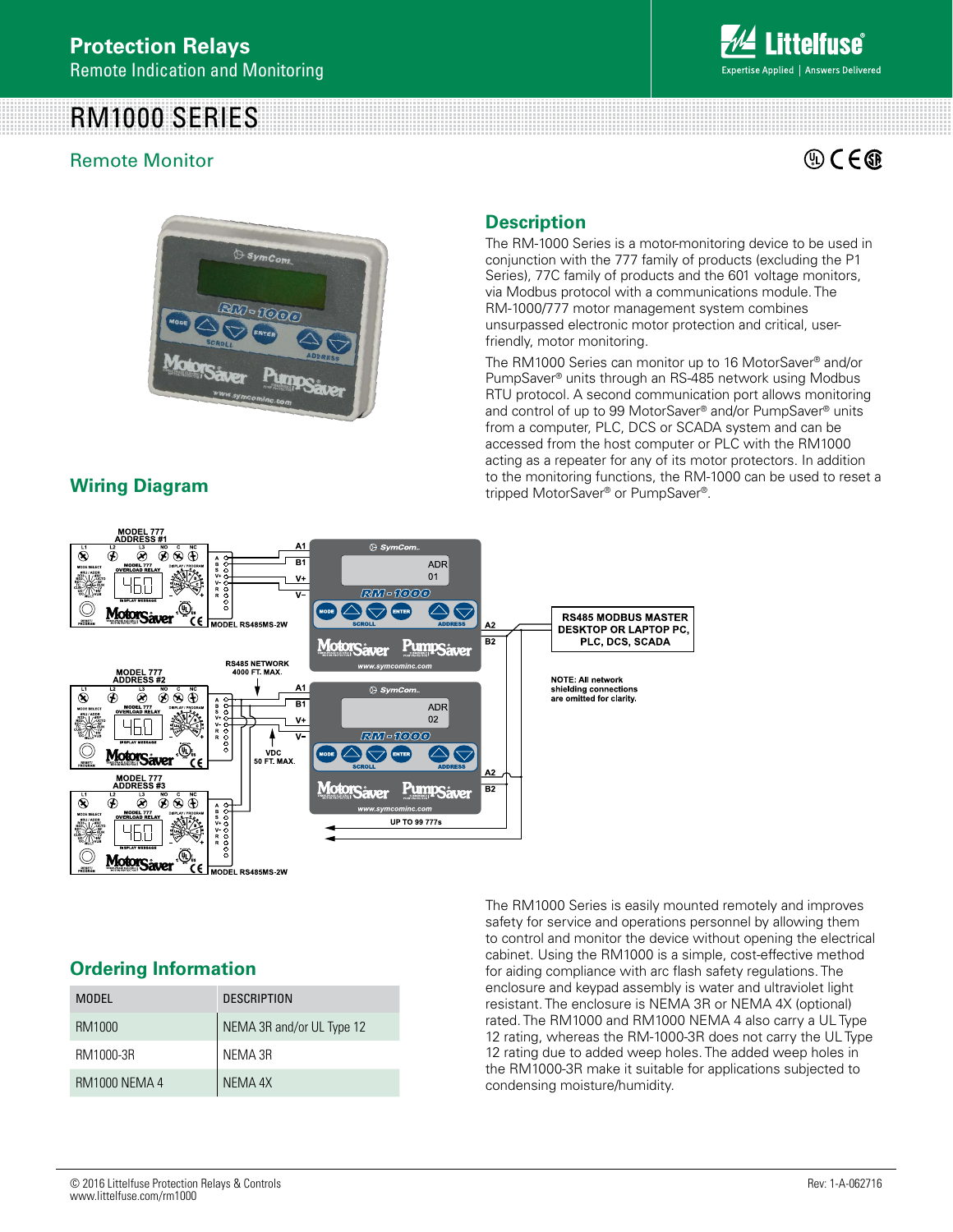# RM1000 SERIES

## Remote Monitor



 $\mathbb{Q}$  C  $\in$   $\mathbb{G}$ 



## **Wiring Diagram**

### **Description**

The RM-1000 Series is a motor-monitoring device to be used in conjunction with the 777 family of products (excluding the P1 Series), 77C family of products and the 601 voltage monitors, via Modbus protocol with a communications module. The RM-1000/777 motor management system combines unsurpassed electronic motor protection and critical, userfriendly, motor monitoring.

The RM1000 Series can monitor up to 16 MotorSaver® and/or PumpSaver® units through an RS-485 network using Modbus RTU protocol. A second communication port allows monitoring and control of up to 99 MotorSaver® and/or PumpSaver® units from a computer, PLC, DCS or SCADA system and can be accessed from the host computer or PLC with the RM1000 acting as a repeater for any of its motor protectors. In addition to the monitoring functions, the RM-1000 can be used to reset a tripped MotorSaver® or PumpSaver®.



### **Ordering Information**

| MODEL.               | <b>DESCRIPTION</b>        |
|----------------------|---------------------------|
| RM1000               | NEMA 3R and/or UL Type 12 |
| RM1000-3R            | NFMA 3R                   |
| <b>RM1000 NEMA 4</b> | NEMA 4X                   |

The RM1000 Series is easily mounted remotely and improves safety for service and operations personnel by allowing them to control and monitor the device without opening the electrical cabinet. Using the RM1000 is a simple, cost-effective method for aiding compliance with arc flash safety regulations. The enclosure and keypad assembly is water and ultraviolet light resistant. The enclosure is NEMA 3R or NEMA 4X (optional) rated. The RM1000 and RM1000 NEMA 4 also carry a UL Type 12 rating, whereas the RM-1000-3R does not carry the UL Type 12 rating due to added weep holes. The added weep holes in the RM1000-3R make it suitable for applications subjected to condensing moisture/humidity.